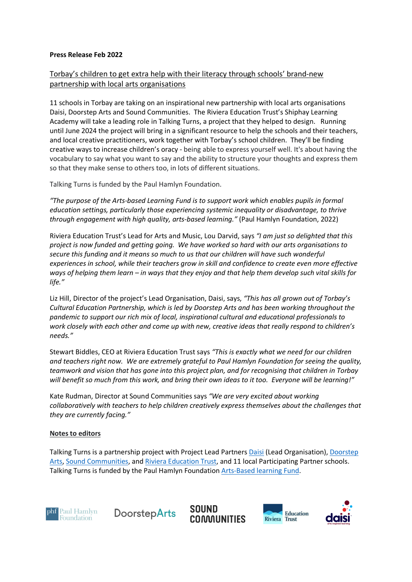#### **Press Release Feb 2022**

## Torbay's children to get extra help with their literacy through schools' brand-new partnership with local arts organisations

11 schools in Torbay are taking on an inspirational new partnership with local arts organisations Daisi, Doorstep Arts and Sound Communities. The Riviera Education Trust's Shiphay Learning Academy will take a leading role in Talking Turns, a project that they helped to design. Running until June 2024 the project will bring in a significant resource to help the schools and their teachers, and local creative practitioners, work together with Torbay's school children. They'll be finding creative ways to increase children's oracy - being able to express yourself well. It's about having the vocabulary to say what you want to say and the ability to structure your thoughts and express them so that they make sense to others too, in lots of different situations.

Talking Turns is funded by the Paul Hamlyn Foundation.

*"The purpose of the Arts-based Learning Fund is to support work which enables pupils in formal education settings, particularly those experiencing systemic inequality or disadvantage, to thrive through engagement with high quality, arts-based learning."* (Paul Hamlyn Foundation, 2022)

Riviera Education Trust's Lead for Arts and Music, Lou Darvid, says *"I am just so delighted that this project is now funded and getting going. We have worked so hard with our arts organisations to secure this funding and it means so much to us that our children will have such wonderful experiences in school, while their teachers grow in skill and confidence to create even more effective ways of helping them learn – in ways that they enjoy and that help them develop such vital skills for life."*

Liz Hill, Director of the project's Lead Organisation, Daisi, says, *"This has all grown out of Torbay's Cultural Education Partnership, which is led by Doorstep Arts and has been working throughout the pandemic to support our rich mix of local, inspirational cultural and educational professionals to work closely with each other and come up with new, creative ideas that really respond to children's needs."*

Stewart Biddles, CEO at Riviera Education Trust says *"This is exactly what we need for our children and teachers right now. We are extremely grateful to Paul Hamlyn Foundation for seeing the quality, teamwork and vision that has gone into this project plan, and for recognising that children in Torbay will benefit so much from this work, and bring their own ideas to it too. Everyone will be learning!"*

Kate Rudman, Director at Sound Communities says *"We are very excited about working collaboratively with teachers to help children creatively express themselves about the challenges that they are currently facing."*

### **Notes to editors**

Talking Turns is a partnership project with Project Lead Partners Daisi (Lead Organisation), Doorstep Arts, Sound Communities, and Riviera Education Trust, and 11 local Participating Partner schools. Talking Turns is funded by the Paul Hamlyn Foundation Arts-Based learning Fund.



**DoorstepArts**